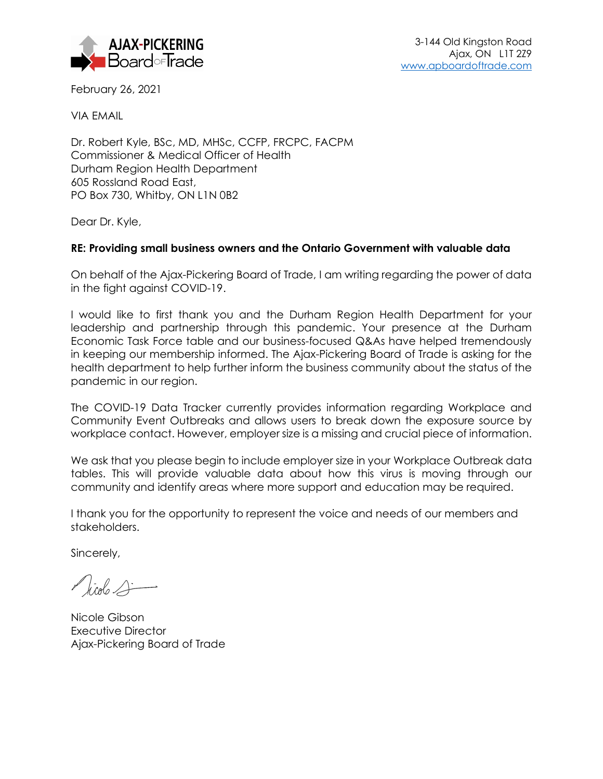

February 26, 2021

VIA EMAIL

Dr. Robert Kyle, BSc, MD, MHSc, CCFP, FRCPC, FACPM Commissioner & Medical Officer of Health Durham Region Health Department 605 Rossland Road East, PO Box 730, Whitby, ON L1N 0B2

Dear Dr. Kyle,

## **RE: Providing small business owners and the Ontario Government with valuable data**

On behalf of the Ajax-Pickering Board of Trade, I am writing regarding the power of data in the fight against COVID-19.

I would like to first thank you and the Durham Region Health Department for your leadership and partnership through this pandemic. Your presence at the Durham Economic Task Force table and our business-focused Q&As have helped tremendously in keeping our membership informed. The Ajax-Pickering Board of Trade is asking for the health department to help further inform the business community about the status of the pandemic in our region.

The COVID-19 Data Tracker currently provides information regarding Workplace and Community Event Outbreaks and allows users to break down the exposure source by workplace contact. However, employer size is a missing and crucial piece of information.

We ask that you please begin to include employer size in your Workplace Outbreak data tables. This will provide valuable data about how this virus is moving through our community and identify areas where more support and education may be required.

I thank you for the opportunity to represent the voice and needs of our members and stakeholders.

Sincerely,

 $\sqrt{100}$ 

Nicole Gibson Executive Director Ajax-Pickering Board of Trade